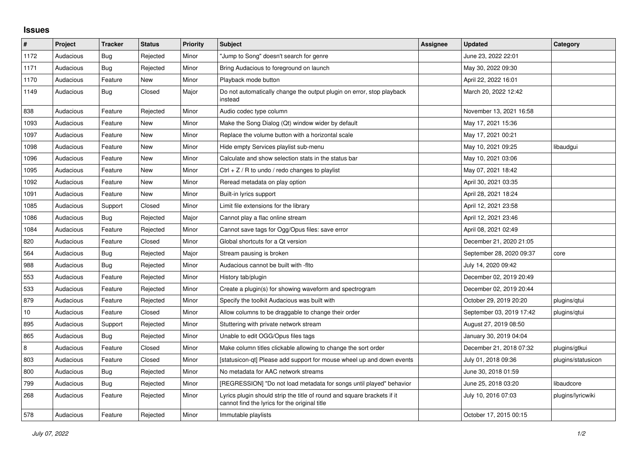## **Issues**

| $\pmb{\#}$ | Project   | <b>Tracker</b> | <b>Status</b> | <b>Priority</b> | <b>Subject</b>                                                                                                           | Assignee | <b>Updated</b>           | Category           |
|------------|-----------|----------------|---------------|-----------------|--------------------------------------------------------------------------------------------------------------------------|----------|--------------------------|--------------------|
| 1172       | Audacious | Bug            | Rejected      | Minor           | Jump to Song" doesn't search for genre                                                                                   |          | June 23, 2022 22:01      |                    |
| 1171       | Audacious | <b>Bug</b>     | Rejected      | Minor           | Bring Audacious to foreground on launch                                                                                  |          | May 30, 2022 09:30       |                    |
| 1170       | Audacious | Feature        | <b>New</b>    | Minor           | Playback mode button                                                                                                     |          | April 22, 2022 16:01     |                    |
| 1149       | Audacious | Bug            | Closed        | Major           | Do not automatically change the output plugin on error, stop playback<br>instead                                         |          | March 20, 2022 12:42     |                    |
| 838        | Audacious | Feature        | Rejected      | Minor           | Audio codec type column                                                                                                  |          | November 13, 2021 16:58  |                    |
| 1093       | Audacious | Feature        | <b>New</b>    | Minor           | Make the Song Dialog (Qt) window wider by default                                                                        |          | May 17, 2021 15:36       |                    |
| 1097       | Audacious | Feature        | New           | Minor           | Replace the volume button with a horizontal scale                                                                        |          | May 17, 2021 00:21       |                    |
| 1098       | Audacious | Feature        | <b>New</b>    | Minor           | Hide empty Services playlist sub-menu                                                                                    |          | May 10, 2021 09:25       | libaudgui          |
| 1096       | Audacious | Feature        | <b>New</b>    | Minor           | Calculate and show selection stats in the status bar                                                                     |          | May 10, 2021 03:06       |                    |
| 1095       | Audacious | Feature        | New           | Minor           | Ctrl $+$ Z / R to undo / redo changes to playlist                                                                        |          | May 07, 2021 18:42       |                    |
| 1092       | Audacious | Feature        | <b>New</b>    | Minor           | Reread metadata on play option                                                                                           |          | April 30, 2021 03:35     |                    |
| 1091       | Audacious | Feature        | <b>New</b>    | Minor           | Built-in lyrics support                                                                                                  |          | April 28, 2021 18:24     |                    |
| 1085       | Audacious | Support        | Closed        | Minor           | Limit file extensions for the library                                                                                    |          | April 12, 2021 23:58     |                    |
| 1086       | Audacious | Bug            | Rejected      | Major           | Cannot play a flac online stream                                                                                         |          | April 12, 2021 23:46     |                    |
| 1084       | Audacious | Feature        | Rejected      | Minor           | Cannot save tags for Ogg/Opus files: save error                                                                          |          | April 08, 2021 02:49     |                    |
| 820        | Audacious | Feature        | Closed        | Minor           | Global shortcuts for a Qt version                                                                                        |          | December 21, 2020 21:05  |                    |
| 564        | Audacious | Bug            | Rejected      | Major           | Stream pausing is broken                                                                                                 |          | September 28, 2020 09:37 | core               |
| 988        | Audacious | Bug            | Rejected      | Minor           | Audacious cannot be built with -fito                                                                                     |          | July 14, 2020 09:42      |                    |
| 553        | Audacious | Feature        | Rejected      | Minor           | History tab/plugin                                                                                                       |          | December 02, 2019 20:49  |                    |
| 533        | Audacious | Feature        | Rejected      | Minor           | Create a plugin(s) for showing waveform and spectrogram                                                                  |          | December 02, 2019 20:44  |                    |
| 879        | Audacious | Feature        | Rejected      | Minor           | Specify the toolkit Audacious was built with                                                                             |          | October 29, 2019 20:20   | plugins/qtui       |
| $10\,$     | Audacious | Feature        | Closed        | Minor           | Allow columns to be draggable to change their order                                                                      |          | September 03, 2019 17:42 | plugins/qtui       |
| 895        | Audacious | Support        | Rejected      | Minor           | Stuttering with private network stream                                                                                   |          | August 27, 2019 08:50    |                    |
| 865        | Audacious | <b>Bug</b>     | Rejected      | Minor           | Unable to edit OGG/Opus files tags                                                                                       |          | January 30, 2019 04:04   |                    |
| 8          | Audacious | Feature        | Closed        | Minor           | Make column titles clickable allowing to change the sort order                                                           |          | December 21, 2018 07:32  | plugins/gtkui      |
| 803        | Audacious | Feature        | Closed        | Minor           | [statusicon-qt] Please add support for mouse wheel up and down events                                                    |          | July 01, 2018 09:36      | plugins/statusicon |
| 800        | Audacious | <b>Bug</b>     | Rejected      | Minor           | No metadata for AAC network streams                                                                                      |          | June 30, 2018 01:59      |                    |
| 799        | Audacious | <b>Bug</b>     | Rejected      | Minor           | [REGRESSION] "Do not load metadata for songs until played" behavior                                                      |          | June 25, 2018 03:20      | libaudcore         |
| 268        | Audacious | Feature        | Rejected      | Minor           | Lyrics plugin should strip the title of round and square brackets if it<br>cannot find the lyrics for the original title |          | July 10, 2016 07:03      | plugins/lyricwiki  |
| 578        | Audacious | Feature        | Rejected      | Minor           | Immutable playlists                                                                                                      |          | October 17, 2015 00:15   |                    |